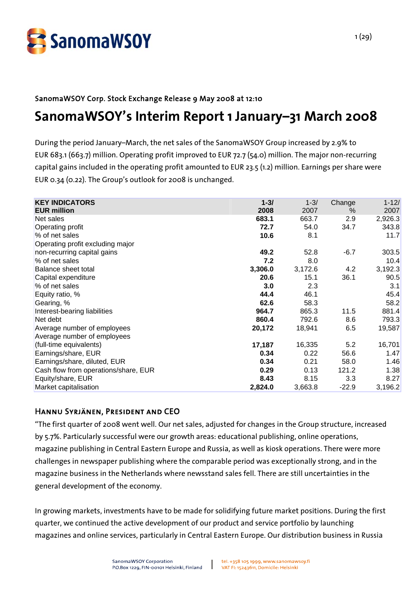

## SanomaWSOY Corp. Stock Exchange Release 9 May 2008 at 12:10 **SanomaWSOY's Interim Report 1 January–31 March 2008**

During the period January–March, the net sales of the SanomaWSOY Group increased by 2.9% to EUR 683.1 (663.7) million. Operating profit improved to EUR 72.7 (54.0) million. The major non-recurring capital gains included in the operating profit amounted to EUR 23.5 (1.2) million. Earnings per share were EUR 0.34 (0.22). The Group's outlook for 2008 is unchanged.

| <b>KEY INDICATORS</b>                | $1 - 3/$ | $1 - 3/$ | Change  | $1 - 12/$ |
|--------------------------------------|----------|----------|---------|-----------|
| <b>EUR million</b>                   | 2008     | 2007     | $\%$    | 2007      |
| Net sales                            | 683.1    | 663.7    | 2.9     | 2,926.3   |
| <b>Operating profit</b>              | 72.7     | 54.0     | 34.7    | 343.8     |
| % of net sales                       | 10.6     | 8.1      |         | 11.7      |
| Operating profit excluding major     |          |          |         |           |
| non-recurring capital gains          | 49.2     | 52.8     | $-6.7$  | 303.5     |
| % of net sales                       | 7.2      | 8.0      |         | 10.4      |
| Balance sheet total                  | 3,306.0  | 3,172.6  | 4.2     | 3,192.3   |
| Capital expenditure                  | 20.6     | 15.1     | 36.1    | 90.5      |
| % of net sales                       | 3.0      | 2.3      |         | 3.1       |
| Equity ratio, %                      | 44.4     | 46.1     |         | 45.4      |
| Gearing, %                           | 62.6     | 58.3     |         | 58.2      |
| Interest-bearing liabilities         | 964.7    | 865.3    | 11.5    | 881.4     |
| Net debt                             | 860.4    | 792.6    | 8.6     | 793.3     |
| Average number of employees          | 20,172   | 18,941   | 6.5     | 19,587    |
| Average number of employees          |          |          |         |           |
| (full-time equivalents)              | 17,187   | 16,335   | 5.2     | 16,701    |
| Earnings/share, EUR                  | 0.34     | 0.22     | 56.6    | 1.47      |
| Earnings/share, diluted, EUR         | 0.34     | 0.21     | 58.0    | 1.46      |
| Cash flow from operations/share, EUR | 0.29     | 0.13     | 121.2   | 1.38      |
| Equity/share, EUR                    | 8.43     | 8.15     | 3.3     | 8.27      |
| Market capitalisation                | 2,824.0  | 3,663.8  | $-22.9$ | 3,196.2   |

## Hannu Syrjänen, President and CEO

"The first quarter of 2008 went well. Our net sales, adjusted for changes in the Group structure, increased by 5.7%. Particularly successful were our growth areas: educational publishing, online operations, magazine publishing in Central Eastern Europe and Russia, as well as kiosk operations. There were more challenges in newspaper publishing where the comparable period was exceptionally strong, and in the magazine business in the Netherlands where newsstand sales fell. There are still uncertainties in the general development of the economy.

In growing markets, investments have to be made for solidifying future market positions. During the first quarter, we continued the active development of our product and service portfolio by launching magazines and online services, particularly in Central Eastern Europe. Our distribution business in Russia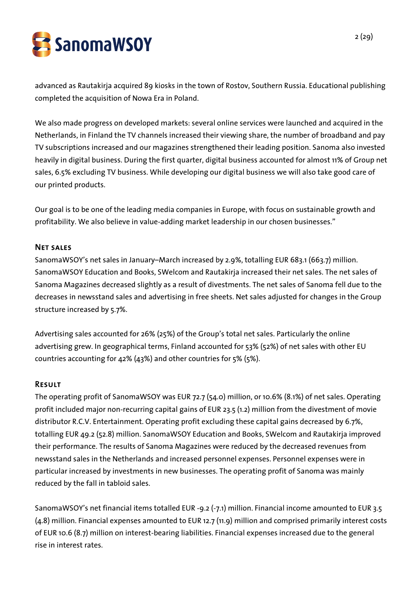

advanced as Rautakirja acquired 89 kiosks in the town of Rostov, Southern Russia. Educational publishing completed the acquisition of Nowa Era in Poland.

We also made progress on developed markets: several online services were launched and acquired in the Netherlands, in Finland the TV channels increased their viewing share, the number of broadband and pay TV subscriptions increased and our magazines strengthened their leading position. Sanoma also invested heavily in digital business. During the first quarter, digital business accounted for almost 11% of Group net sales, 6.5% excluding TV business. While developing our digital business we will also take good care of our printed products.

Our goal is to be one of the leading media companies in Europe, with focus on sustainable growth and profitability. We also believe in value-adding market leadership in our chosen businesses."

## Net sales

SanomaWSOY's net sales in January–March increased by 2.9%, totalling EUR 683.1 (663.7) million. SanomaWSOY Education and Books, SWelcom and Rautakirja increased their net sales. The net sales of Sanoma Magazines decreased slightly as a result of divestments. The net sales of Sanoma fell due to the decreases in newsstand sales and advertising in free sheets. Net sales adjusted for changes in the Group structure increased by 5.7%.

Advertising sales accounted for 26% (25%) of the Group's total net sales. Particularly the online advertising grew. In geographical terms, Finland accounted for 53% (52%) of net sales with other EU countries accounting for 42% (43%) and other countries for 5% (5%).

#### Result

The operating profit of SanomaWSOY was EUR 72.7 (54.0) million, or 10.6% (8.1%) of net sales. Operating profit included major non-recurring capital gains of EUR 23.5 (1.2) million from the divestment of movie distributor R.C.V. Entertainment. Operating profit excluding these capital gains decreased by 6.7%, totalling EUR 49.2 (52.8) million. SanomaWSOY Education and Books, SWelcom and Rautakirja improved their performance. The results of Sanoma Magazines were reduced by the decreased revenues from newsstand sales in the Netherlands and increased personnel expenses. Personnel expenses were in particular increased by investments in new businesses. The operating profit of Sanoma was mainly reduced by the fall in tabloid sales.

SanomaWSOY's net financial items totalled EUR -9.2 (-7.1) million. Financial income amounted to EUR 3.5 (4.8) million. Financial expenses amounted to EUR 12.7 (11.9) million and comprised primarily interest costs of EUR 10.6 (8.7) million on interest-bearing liabilities. Financial expenses increased due to the general rise in interest rates.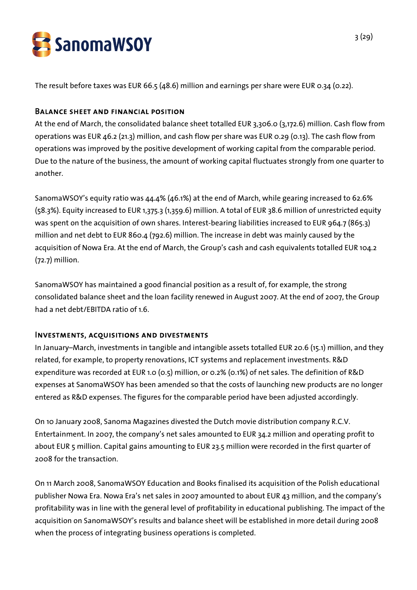

The result before taxes was EUR 66.5 (48.6) million and earnings per share were EUR 0.34 (0.22).

## Balance sheet and financial position

At the end of March, the consolidated balance sheet totalled EUR 3,306.0 (3,172.6) million. Cash flow from operations was EUR 46.2 (21.3) million, and cash flow per share was EUR 0.29 (0.13). The cash flow from operations was improved by the positive development of working capital from the comparable period. Due to the nature of the business, the amount of working capital fluctuates strongly from one quarter to another.

SanomaWSOY's equity ratio was 44.4% (46.1%) at the end of March, while gearing increased to 62.6% (58.3%). Equity increased to EUR 1,375.3 (1,359.6) million. A total of EUR 38.6 million of unrestricted equity was spent on the acquisition of own shares. Interest-bearing liabilities increased to EUR 964.7 (865.3) million and net debt to EUR 860.4 (792.6) million. The increase in debt was mainly caused by the acquisition of Nowa Era. At the end of March, the Group's cash and cash equivalents totalled EUR 104.2 (72.7) million.

SanomaWSOY has maintained a good financial position as a result of, for example, the strong consolidated balance sheet and the loan facility renewed in August 2007. At the end of 2007, the Group had a net debt/EBITDA ratio of 1.6.

## Investments, acquisitions and divestments

In January–March, investments in tangible and intangible assets totalled EUR 20.6 (15.1) million, and they related, for example, to property renovations, ICT systems and replacement investments. R&D expenditure was recorded at EUR 1.0 (0.5) million, or 0.2% (0.1%) of net sales. The definition of R&D expenses at SanomaWSOY has been amended so that the costs of launching new products are no longer entered as R&D expenses. The figures for the comparable period have been adjusted accordingly.

On 10 January 2008, Sanoma Magazines divested the Dutch movie distribution company R.C.V. Entertainment. In 2007, the company's net sales amounted to EUR 34.2 million and operating profit to about EUR 5 million. Capital gains amounting to EUR 23.5 million were recorded in the first quarter of 2008 for the transaction.

On 11 March 2008, SanomaWSOY Education and Books finalised its acquisition of the Polish educational publisher Nowa Era. Nowa Era's net sales in 2007 amounted to about EUR 43 million, and the company's profitability was in line with the general level of profitability in educational publishing. The impact of the acquisition on SanomaWSOY's results and balance sheet will be established in more detail during 2008 when the process of integrating business operations is completed.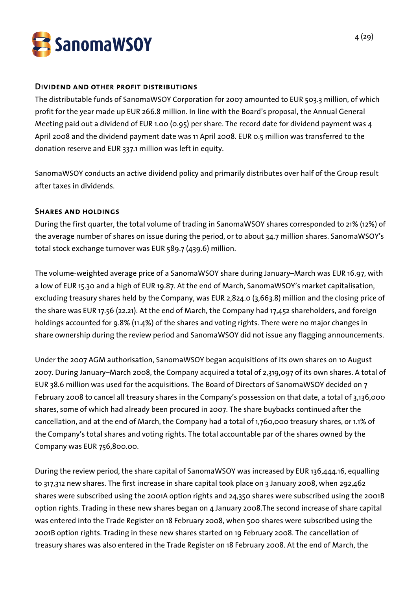

#### Dividend and other profit distributions

The distributable funds of SanomaWSOY Corporation for 2007 amounted to EUR 503.3 million, of which profit for the year made up EUR 266.8 million. In line with the Board's proposal, the Annual General Meeting paid out a dividend of EUR 1.00 (0.95) per share. The record date for dividend payment was 4 April 2008 and the dividend payment date was 11 April 2008. EUR 0.5 million was transferred to the donation reserve and EUR 337.1 million was left in equity.

SanomaWSOY conducts an active dividend policy and primarily distributes over half of the Group result after taxes in dividends.

#### Shares and holdings

During the first quarter, the total volume of trading in SanomaWSOY shares corresponded to 21% (12%) of the average number of shares on issue during the period, or to about 34.7 million shares. SanomaWSOY's total stock exchange turnover was EUR 589.7 (439.6) million.

The volume-weighted average price of a SanomaWSOY share during January–March was EUR 16.97, with a low of EUR 15.30 and a high of EUR 19.87. At the end of March, SanomaWSOY's market capitalisation, excluding treasury shares held by the Company, was EUR 2,824.0 (3,663.8) million and the closing price of the share was EUR 17.56 (22.21). At the end of March, the Company had 17,452 shareholders, and foreign holdings accounted for 9.8% (11.4%) of the shares and voting rights. There were no major changes in share ownership during the review period and SanomaWSOY did not issue any flagging announcements.

Under the 2007 AGM authorisation, SanomaWSOY began acquisitions of its own shares on 10 August 2007. During January–March 2008, the Company acquired a total of 2,319,097 of its own shares. A total of EUR 38.6 million was used for the acquisitions. The Board of Directors of SanomaWSOY decided on 7 February 2008 to cancel all treasury shares in the Company's possession on that date, a total of 3,136,000 shares, some of which had already been procured in 2007. The share buybacks continued after the cancellation, and at the end of March, the Company had a total of 1,760,000 treasury shares, or 1.1% of the Company's total shares and voting rights. The total accountable par of the shares owned by the Company was EUR 756,800.00.

During the review period, the share capital of SanomaWSOY was increased by EUR 136,444.16, equalling to 317,312 new shares. The first increase in share capital took place on 3 January 2008, when 292,462 shares were subscribed using the 2001A option rights and 24,350 shares were subscribed using the 2001B option rights. Trading in these new shares began on 4 January 2008.The second increase of share capital was entered into the Trade Register on 18 February 2008, when 500 shares were subscribed using the 2001B option rights. Trading in these new shares started on 19 February 2008. The cancellation of treasury shares was also entered in the Trade Register on 18 February 2008. At the end of March, the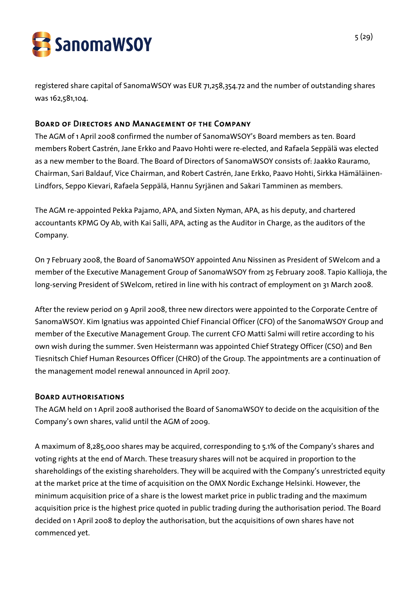

registered share capital of SanomaWSOY was EUR 71,258,354.72 and the number of outstanding shares was 162,581,104.

## Board of Directors and Management of the Company

The AGM of 1 April 2008 confirmed the number of SanomaWSOY's Board members as ten. Board members Robert Castrén, Jane Erkko and Paavo Hohti were re-elected, and Rafaela Seppälä was elected as a new member to the Board. The Board of Directors of SanomaWSOY consists of: Jaakko Rauramo, Chairman, Sari Baldauf, Vice Chairman, and Robert Castrén, Jane Erkko, Paavo Hohti, Sirkka Hämäläinen-Lindfors, Seppo Kievari, Rafaela Seppälä, Hannu Syrjänen and Sakari Tamminen as members.

The AGM re-appointed Pekka Pajamo, APA, and Sixten Nyman, APA, as his deputy, and chartered accountants KPMG Oy Ab, with Kai Salli, APA, acting as the Auditor in Charge, as the auditors of the Company.

On 7 February 2008, the Board of SanomaWSOY appointed Anu Nissinen as President of SWelcom and a member of the Executive Management Group of SanomaWSOY from 25 February 2008. Tapio Kallioja, the long-serving President of SWelcom, retired in line with his contract of employment on 31 March 2008.

After the review period on 9 April 2008, three new directors were appointed to the Corporate Centre of SanomaWSOY. Kim Ignatius was appointed Chief Financial Officer (CFO) of the SanomaWSOY Group and member of the Executive Management Group. The current CFO Matti Salmi will retire according to his own wish during the summer. Sven Heistermann was appointed Chief Strategy Officer (CSO) and Ben Tiesnitsch Chief Human Resources Officer (CHRO) of the Group. The appointments are a continuation of the management model renewal announced in April 2007.

## Board authorisations

The AGM held on 1 April 2008 authorised the Board of SanomaWSOY to decide on the acquisition of the Company's own shares, valid until the AGM of 2009.

A maximum of 8,285,000 shares may be acquired, corresponding to 5.1% of the Company's shares and voting rights at the end of March. These treasury shares will not be acquired in proportion to the shareholdings of the existing shareholders. They will be acquired with the Company's unrestricted equity at the market price at the time of acquisition on the OMX Nordic Exchange Helsinki. However, the minimum acquisition price of a share is the lowest market price in public trading and the maximum acquisition price is the highest price quoted in public trading during the authorisation period. The Board decided on 1 April 2008 to deploy the authorisation, but the acquisitions of own shares have not commenced yet.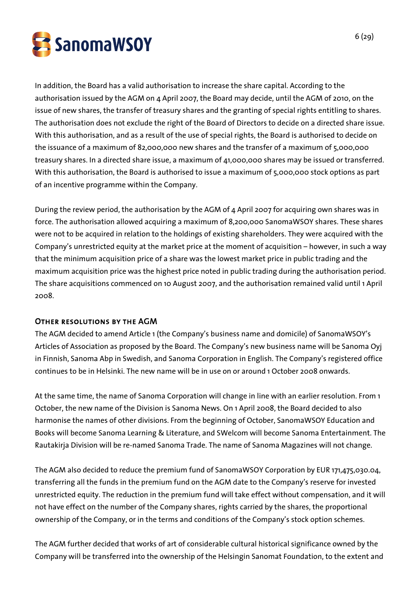

In addition, the Board has a valid authorisation to increase the share capital. According to the authorisation issued by the AGM on 4 April 2007, the Board may decide, until the AGM of 2010, on the issue of new shares, the transfer of treasury shares and the granting of special rights entitling to shares. The authorisation does not exclude the right of the Board of Directors to decide on a directed share issue. With this authorisation, and as a result of the use of special rights, the Board is authorised to decide on the issuance of a maximum of 82,000,000 new shares and the transfer of a maximum of 5,000,000 treasury shares. In a directed share issue, a maximum of 41,000,000 shares may be issued or transferred. With this authorisation, the Board is authorised to issue a maximum of 5,000,000 stock options as part of an incentive programme within the Company.

During the review period, the authorisation by the AGM of 4 April 2007 for acquiring own shares was in force. The authorisation allowed acquiring a maximum of 8,200,000 SanomaWSOY shares. These shares were not to be acquired in relation to the holdings of existing shareholders. They were acquired with the Company's unrestricted equity at the market price at the moment of acquisition – however, in such a way that the minimum acquisition price of a share was the lowest market price in public trading and the maximum acquisition price was the highest price noted in public trading during the authorisation period. The share acquisitions commenced on 10 August 2007, and the authorisation remained valid until 1 April 2008.

## Other resolutions by the AGM

The AGM decided to amend Article 1 (the Company's business name and domicile) of SanomaWSOY's Articles of Association as proposed by the Board. The Company's new business name will be Sanoma Oyj in Finnish, Sanoma Abp in Swedish, and Sanoma Corporation in English. The Company's registered office continues to be in Helsinki. The new name will be in use on or around 1 October 2008 onwards.

At the same time, the name of Sanoma Corporation will change in line with an earlier resolution. From 1 October, the new name of the Division is Sanoma News. On 1 April 2008, the Board decided to also harmonise the names of other divisions. From the beginning of October, SanomaWSOY Education and Books will become Sanoma Learning & Literature, and SWelcom will become Sanoma Entertainment. The Rautakirja Division will be re-named Sanoma Trade. The name of Sanoma Magazines will not change.

The AGM also decided to reduce the premium fund of SanomaWSOY Corporation by EUR 171,475,030.04, transferring all the funds in the premium fund on the AGM date to the Company's reserve for invested unrestricted equity. The reduction in the premium fund will take effect without compensation, and it will not have effect on the number of the Company shares, rights carried by the shares, the proportional ownership of the Company, or in the terms and conditions of the Company's stock option schemes.

The AGM further decided that works of art of considerable cultural historical significance owned by the Company will be transferred into the ownership of the Helsingin Sanomat Foundation, to the extent and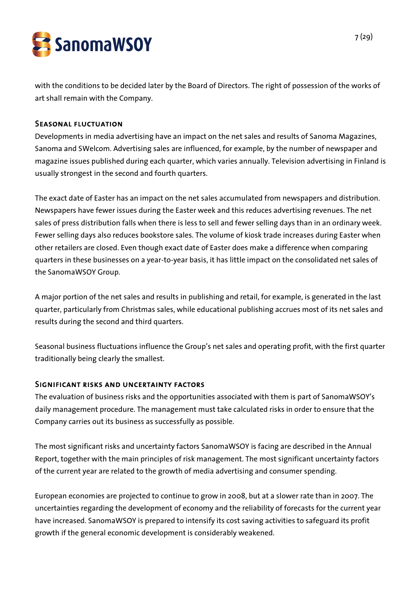

with the conditions to be decided later by the Board of Directors. The right of possession of the works of art shall remain with the Company.

## Seasonal fluctuation

Developments in media advertising have an impact on the net sales and results of Sanoma Magazines, Sanoma and SWelcom. Advertising sales are influenced, for example, by the number of newspaper and magazine issues published during each quarter, which varies annually. Television advertising in Finland is usually strongest in the second and fourth quarters.

The exact date of Easter has an impact on the net sales accumulated from newspapers and distribution. Newspapers have fewer issues during the Easter week and this reduces advertising revenues. The net sales of press distribution falls when there is less to sell and fewer selling days than in an ordinary week. Fewer selling days also reduces bookstore sales. The volume of kiosk trade increases during Easter when other retailers are closed. Even though exact date of Easter does make a difference when comparing quarters in these businesses on a year-to-year basis, it has little impact on the consolidated net sales of the SanomaWSOY Group.

A major portion of the net sales and results in publishing and retail, for example, is generated in the last quarter, particularly from Christmas sales, while educational publishing accrues most of its net sales and results during the second and third quarters.

Seasonal business fluctuations influence the Group's net sales and operating profit, with the first quarter traditionally being clearly the smallest.

#### Significant risks and uncertainty factors

The evaluation of business risks and the opportunities associated with them is part of SanomaWSOY's daily management procedure. The management must take calculated risks in order to ensure that the Company carries out its business as successfully as possible.

The most significant risks and uncertainty factors SanomaWSOY is facing are described in the Annual Report, together with the main principles of risk management. The most significant uncertainty factors of the current year are related to the growth of media advertising and consumer spending.

European economies are projected to continue to grow in 2008, but at a slower rate than in 2007. The uncertainties regarding the development of economy and the reliability of forecasts for the current year have increased. SanomaWSOY is prepared to intensify its cost saving activities to safeguard its profit growth if the general economic development is considerably weakened.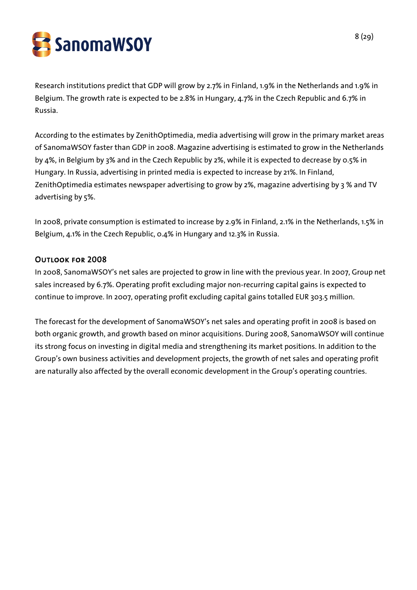SanomaWSOY

Research institutions predict that GDP will grow by 2.7% in Finland, 1.9% in the Netherlands and 1.9% in Belgium. The growth rate is expected to be 2.8% in Hungary, 4.7% in the Czech Republic and 6.7% in Russia.

According to the estimates by ZenithOptimedia, media advertising will grow in the primary market areas of SanomaWSOY faster than GDP in 2008. Magazine advertising is estimated to grow in the Netherlands by 4%, in Belgium by 3% and in the Czech Republic by 2%, while it is expected to decrease by 0.5% in Hungary. In Russia, advertising in printed media is expected to increase by 21%. In Finland, ZenithOptimedia estimates newspaper advertising to grow by 2%, magazine advertising by 3 % and TV advertising by 5%.

In 2008, private consumption is estimated to increase by 2.9% in Finland, 2.1% in the Netherlands, 1.5% in Belgium, 4.1% in the Czech Republic, 0.4% in Hungary and 12.3% in Russia.

## Outlook for 2008

In 2008, SanomaWSOY's net sales are projected to grow in line with the previous year. In 2007, Group net sales increased by 6.7%. Operating profit excluding major non-recurring capital gains is expected to continue to improve. In 2007, operating profit excluding capital gains totalled EUR 303.5 million.

The forecast for the development of SanomaWSOY's net sales and operating profit in 2008 is based on both organic growth, and growth based on minor acquisitions. During 2008, SanomaWSOY will continue its strong focus on investing in digital media and strengthening its market positions. In addition to the Group's own business activities and development projects, the growth of net sales and operating profit are naturally also affected by the overall economic development in the Group's operating countries.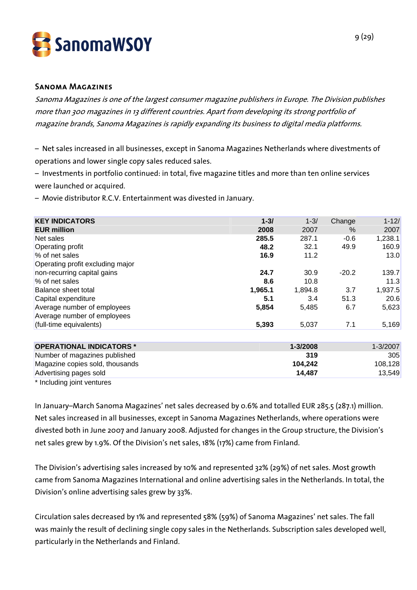

#### Sanoma Magazines

Sanoma Magazines is one of the largest consumer magazine publishers in Europe. The Division publishes more than 300 magazines in 13 different countries. Apart from developing its strong portfolio of magazine brands, Sanoma Magazines is rapidly expanding its business to digital media platforms.

– Net sales increased in all businesses, except in Sanoma Magazines Netherlands where divestments of operations and lower single copy sales reduced sales.

– Investments in portfolio continued: in total, five magazine titles and more than ten online services were launched or acquired.

– Movie distributor R.C.V. Entertainment was divested in January.

| <b>KEY INDICATORS</b>            | $1 - 3/$ | $1 - 3/$ | Change  | $1 - 12/$ |
|----------------------------------|----------|----------|---------|-----------|
| <b>EUR million</b>               | 2008     | 2007     | $\%$    | 2007      |
| Net sales                        | 285.5    | 287.1    | $-0.6$  | 1,238.1   |
| <b>Operating profit</b>          | 48.2     | 32.1     | 49.9    | 160.9     |
| % of net sales                   | 16.9     | 11.2     |         | 13.0      |
| Operating profit excluding major |          |          |         |           |
| non-recurring capital gains      | 24.7     | 30.9     | $-20.2$ | 139.7     |
| % of net sales                   | 8.6      | 10.8     |         | 11.3      |
| Balance sheet total              | 1,965.1  | 1,894.8  | 3.7     | 1,937.5   |
| Capital expenditure              | 5.1      | 3.4      | 51.3    | 20.6      |
| Average number of employees      | 5,854    | 5,485    | 6.7     | 5,623     |
| Average number of employees      |          |          |         |           |
| (full-time equivalents)          | 5,393    | 5,037    | 7.1     | 5,169     |
|                                  |          |          |         |           |
| <b>OPERATIONAL INDICATORS *</b>  |          | 1-3/2008 |         | 1-3/2007  |
| Number of magazines published    |          | 319      |         | 305       |
| Magazine copies sold, thousands  |          | 104,242  |         | 108,128   |
| Advertising pages sold           |          | 14,487   |         | 13,549    |

\* Including joint ventures

In January–March Sanoma Magazines' net sales decreased by 0.6% and totalled EUR 285.5 (287.1) million. Net sales increased in all businesses, except in Sanoma Magazines Netherlands, where operations were divested both in June 2007 and January 2008. Adjusted for changes in the Group structure, the Division's net sales grew by 1.9%. Of the Division's net sales, 18% (17%) came from Finland.

The Division's advertising sales increased by 10% and represented 32% (29%) of net sales. Most growth came from Sanoma Magazines International and online advertising sales in the Netherlands. In total, the Division's online advertising sales grew by 33%.

Circulation sales decreased by 1% and represented 58% (59%) of Sanoma Magazines' net sales. The fall was mainly the result of declining single copy sales in the Netherlands. Subscription sales developed well, particularly in the Netherlands and Finland.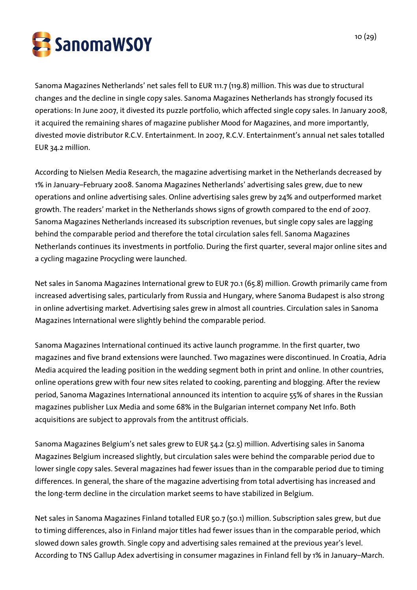

Sanoma Magazines Netherlands' net sales fell to EUR 111.7 (119.8) million. This was due to structural changes and the decline in single copy sales. Sanoma Magazines Netherlands has strongly focused its operations: In June 2007, it divested its puzzle portfolio, which affected single copy sales. In January 2008, it acquired the remaining shares of magazine publisher Mood for Magazines, and more importantly, divested movie distributor R.C.V. Entertainment. In 2007, R.C.V. Entertainment's annual net sales totalled EUR 34.2 million.

According to Nielsen Media Research, the magazine advertising market in the Netherlands decreased by 1% in January–February 2008. Sanoma Magazines Netherlands' advertising sales grew, due to new operations and online advertising sales. Online advertising sales grew by 24% and outperformed market growth. The readers' market in the Netherlands shows signs of growth compared to the end of 2007. Sanoma Magazines Netherlands increased its subscription revenues, but single copy sales are lagging behind the comparable period and therefore the total circulation sales fell. Sanoma Magazines Netherlands continues its investments in portfolio. During the first quarter, several major online sites and a cycling magazine Procycling were launched.

Net sales in Sanoma Magazines International grew to EUR 70.1 (65.8) million. Growth primarily came from increased advertising sales, particularly from Russia and Hungary, where Sanoma Budapest is also strong in online advertising market. Advertising sales grew in almost all countries. Circulation sales in Sanoma Magazines International were slightly behind the comparable period.

Sanoma Magazines International continued its active launch programme. In the first quarter, two magazines and five brand extensions were launched. Two magazines were discontinued. In Croatia, Adria Media acquired the leading position in the wedding segment both in print and online. In other countries, online operations grew with four new sites related to cooking, parenting and blogging. After the review period, Sanoma Magazines International announced its intention to acquire 55% of shares in the Russian magazines publisher Lux Media and some 68% in the Bulgarian internet company Net Info. Both acquisitions are subject to approvals from the antitrust officials.

Sanoma Magazines Belgium's net sales grew to EUR 54.2 (52.5) million. Advertising sales in Sanoma Magazines Belgium increased slightly, but circulation sales were behind the comparable period due to lower single copy sales. Several magazines had fewer issues than in the comparable period due to timing differences. In general, the share of the magazine advertising from total advertising has increased and the long-term decline in the circulation market seems to have stabilized in Belgium.

Net sales in Sanoma Magazines Finland totalled EUR 50.7 (50.1) million. Subscription sales grew, but due to timing differences, also in Finland major titles had fewer issues than in the comparable period, which slowed down sales growth. Single copy and advertising sales remained at the previous year's level. According to TNS Gallup Adex advertising in consumer magazines in Finland fell by 1% in January–March.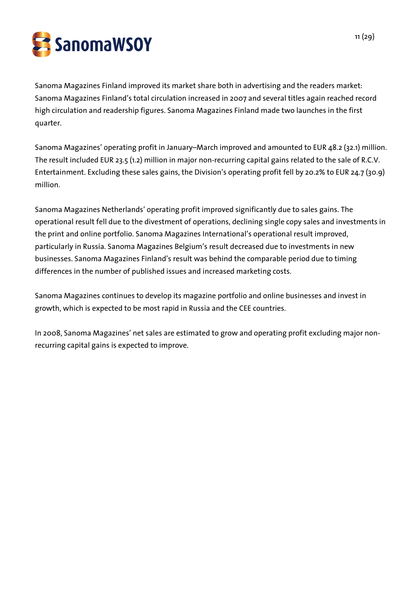SanomaWSOY

Sanoma Magazines Finland improved its market share both in advertising and the readers market: Sanoma Magazines Finland's total circulation increased in 2007 and several titles again reached record high circulation and readership figures. Sanoma Magazines Finland made two launches in the first quarter.

Sanoma Magazines' operating profit in January–March improved and amounted to EUR 48.2 (32.1) million. The result included EUR 23.5 (1.2) million in major non-recurring capital gains related to the sale of R.C.V. Entertainment. Excluding these sales gains, the Division's operating profit fell by 20.2% to EUR 24.7 (30.9) million.

Sanoma Magazines Netherlands' operating profit improved significantly due to sales gains. The operational result fell due to the divestment of operations, declining single copy sales and investments in the print and online portfolio. Sanoma Magazines International's operational result improved, particularly in Russia. Sanoma Magazines Belgium's result decreased due to investments in new businesses. Sanoma Magazines Finland's result was behind the comparable period due to timing differences in the number of published issues and increased marketing costs.

Sanoma Magazines continues to develop its magazine portfolio and online businesses and invest in growth, which is expected to be most rapid in Russia and the CEE countries.

In 2008, Sanoma Magazines' net sales are estimated to grow and operating profit excluding major nonrecurring capital gains is expected to improve.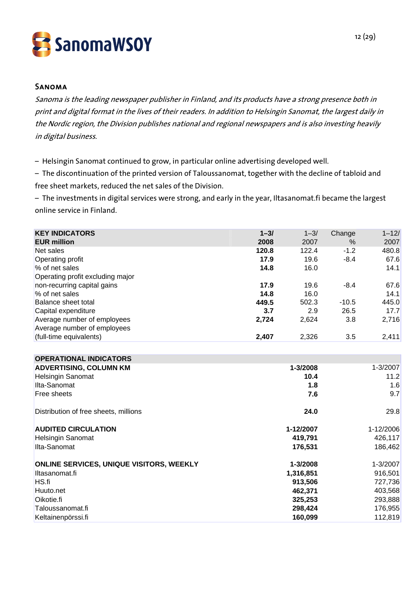

#### Sanoma

Sanoma is the leading newspaper publisher in Finland, and its products have a strong presence both in print and digital format in the lives of their readers. In addition to Helsingin Sanomat, the largest daily in the Nordic region, the Division publishes national and regional newspapers and is also investing heavily in digital business.

– Helsingin Sanomat continued to grow, in particular online advertising developed well.

– The discontinuation of the printed version of Taloussanomat, together with the decline of tabloid and free sheet markets, reduced the net sales of the Division.

– The investments in digital services were strong, and early in the year, Iltasanomat.fi became the largest online service in Finland.

| <b>KEY INDICATORS</b>                 | $1 - 3/$ | $1 - 3/$  | Change  | $1 - 12/$ |
|---------------------------------------|----------|-----------|---------|-----------|
| <b>EUR million</b>                    | 2008     | 2007      | $\%$    | 2007      |
| Net sales                             | 120.8    | 122.4     | $-1.2$  | 480.8     |
| Operating profit                      | 17.9     | 19.6      | $-8.4$  | 67.6      |
| % of net sales                        | 14.8     | 16.0      |         | 14.1      |
| Operating profit excluding major      |          |           |         |           |
| non-recurring capital gains           | 17.9     | 19.6      | $-8.4$  | 67.6      |
| % of net sales                        | 14.8     | 16.0      |         | 14.1      |
| Balance sheet total                   | 449.5    | 502.3     | $-10.5$ | 445.0     |
| Capital expenditure                   | 3.7      | 2.9       | 26.5    | 17.7      |
| Average number of employees           | 2,724    | 2,624     | 3.8     | 2,716     |
| Average number of employees           |          |           |         |           |
| (full-time equivalents)               | 2,407    | 2,326     | 3.5     | 2,411     |
|                                       |          |           |         |           |
| <b>OPERATIONAL INDICATORS</b>         |          |           |         |           |
| <b>ADVERTISING, COLUMN KM</b>         |          | 1-3/2008  |         | 1-3/2007  |
| <b>Helsingin Sanomat</b>              |          | 10.4      |         | 11.2      |
| Ilta-Sanomat                          |          | 1.8       |         | 1.6       |
| Free sheets                           |          | 7.6       |         | 9.7       |
| Distribution of free sheets, millions |          | 24.0      |         | 29.8      |
| <b>AUDITED CIRCULATION</b>            |          | 1-12/2007 |         | 1-12/2006 |

| <b>Helsingin Sanomat</b>                        | 419,791   | 426,117  |
|-------------------------------------------------|-----------|----------|
| Ilta-Sanomat                                    | 176,531   | 186,462  |
| <b>ONLINE SERVICES, UNIQUE VISITORS, WEEKLY</b> | 1-3/2008  | 1-3/2007 |
| Iltasanomat.fi                                  | 1,316,851 | 916,501  |
| HS.fi                                           | 913,506   | 727,736  |
| Huuto.net                                       | 462.371   | 403,568  |
| Oikotie.fi                                      | 325,253   | 293,888  |
| Taloussanomat.fi                                | 298,424   | 176,955  |
| Keltainenpörssi.fi                              | 160,099   | 112,819  |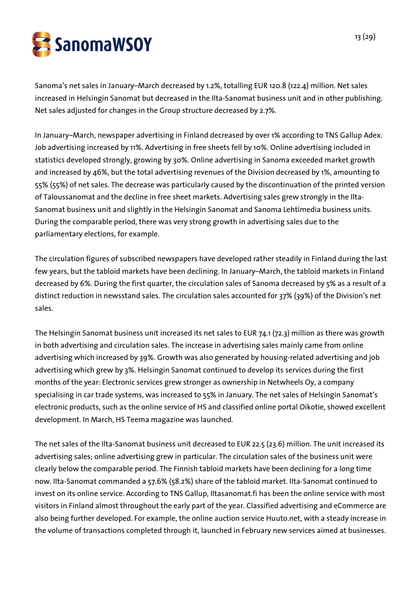

Sanoma's net sales in January–March decreased by 1.2%, totalling EUR 120.8 (122.4) million. Net sales increased in Helsingin Sanomat but decreased in the Ilta-Sanomat business unit and in other publishing. Net sales adjusted for changes in the Group structure decreased by 2.7%.

In January–March, newspaper advertising in Finland decreased by over 1% according to TNS Gallup Adex. Job advertising increased by 11%. Advertising in free sheets fell by 10%. Online advertising included in statistics developed strongly, growing by 30%. Online advertising in Sanoma exceeded market growth and increased by 46%, but the total advertising revenues of the Division decreased by 1%, amounting to 55% (55%) of net sales. The decrease was particularly caused by the discontinuation of the printed version of Taloussanomat and the decline in free sheet markets. Advertising sales grew strongly in the Ilta-Sanomat business unit and slightly in the Helsingin Sanomat and Sanoma Lehtimedia business units. During the comparable period, there was very strong growth in advertising sales due to the parliamentary elections, for example.

The circulation figures of subscribed newspapers have developed rather steadily in Finland during the last few years, but the tabloid markets have been declining. In January–March, the tabloid markets in Finland decreased by 6%. During the first quarter, the circulation sales of Sanoma decreased by 5% as a result of a distinct reduction in newsstand sales. The circulation sales accounted for 37% (39%) of the Division's net sales.

The Helsingin Sanomat business unit increased its net sales to EUR 74.1 (72.3) million as there was growth in both advertising and circulation sales. The increase in advertising sales mainly came from online advertising which increased by 39%. Growth was also generated by housing-related advertising and job advertising which grew by 3%. Helsingin Sanomat continued to develop its services during the first months of the year: Electronic services grew stronger as ownership in Netwheels Oy, a company specialising in car trade systems, was increased to 55% in January. The net sales of Helsingin Sanomat's electronic products, such as the online service of HS and classified online portal Oikotie, showed excellent development. In March, HS Teema magazine was launched.

The net sales of the Ilta-Sanomat business unit decreased to EUR 22.5 (23.6) million. The unit increased its advertising sales; online advertising grew in particular. The circulation sales of the business unit were clearly below the comparable period. The Finnish tabloid markets have been declining for a long time now. Ilta-Sanomat commanded a 57.6% (58.2%) share of the tabloid market. Ilta-Sanomat continued to invest on its online service. According to TNS Gallup, Iltasanomat.fi has been the online service with most visitors in Finland almost throughout the early part of the year. Classified advertising and eCommerce are also being further developed. For example, the online auction service Huuto.net, with a steady increase in the volume of transactions completed through it, launched in February new services aimed at businesses.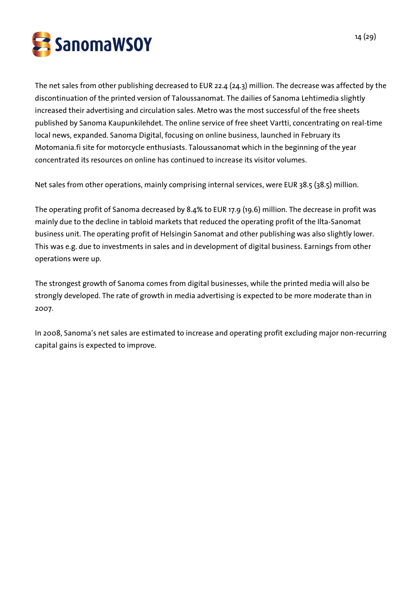

The net sales from other publishing decreased to EUR 22.4 (24.3) million. The decrease was affected by the discontinuation of the printed version of Taloussanomat. The dailies of Sanoma Lehtimedia slightly increased their advertising and circulation sales. Metro was the most successful of the free sheets published by Sanoma Kaupunkilehdet. The online service of free sheet Vartti, concentrating on real-time local news, expanded. Sanoma Digital, focusing on online business, launched in February its Motomania.fi site for motorcycle enthusiasts. Taloussanomat which in the beginning of the year concentrated its resources on online has continued to increase its visitor volumes.

Net sales from other operations, mainly comprising internal services, were EUR 38.5 (38.5) million.

The operating profit of Sanoma decreased by 8.4% to EUR 17.9 (19.6) million. The decrease in profit was mainly due to the decline in tabloid markets that reduced the operating profit of the Ilta-Sanomat business unit. The operating profit of Helsingin Sanomat and other publishing was also slightly lower. This was e.g. due to investments in sales and in development of digital business. Earnings from other operations were up.

The strongest growth of Sanoma comes from digital businesses, while the printed media will also be strongly developed. The rate of growth in media advertising is expected to be more moderate than in 2007.

In 2008, Sanoma's net sales are estimated to increase and operating profit excluding major non-recurring capital gains is expected to improve.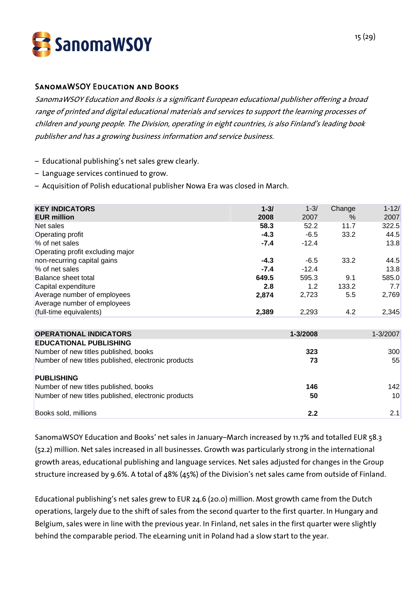

#### SanomaWSOY Education and Books

SanomaWSOY Education and Books is a significant European educational publisher offering a broad range of printed and digital educational materials and services to support the learning processes of children and young people. The Division, operating in eight countries, is also Finland's leading book publisher and has a growing business information and service business.

- Educational publishing's net sales grew clearly.
- Language services continued to grow.
- Acquisition of Polish educational publisher Nowa Era was closed in March.

| <b>KEY INDICATORS</b>            | $1 - 3/$ | $1 - 3/$ | Change | $1 - 12/$ |
|----------------------------------|----------|----------|--------|-----------|
| <b>EUR million</b>               | 2008     | 2007     | $\%$   | 2007      |
| Net sales                        | 58.3     | 52.2     | 11.7   | 322.5     |
| Operating profit                 | $-4.3$   | $-6.5$   | 33.2   | 44.5      |
| % of net sales                   | $-7.4$   | $-12.4$  |        | 13.8      |
| Operating profit excluding major |          |          |        |           |
| non-recurring capital gains      | $-4.3$   | $-6.5$   | 33.2   | 44.5      |
| % of net sales                   | $-7.4$   | $-12.4$  |        | 13.8      |
| Balance sheet total              | 649.5    | 595.3    | 9.1    | 585.0     |
| Capital expenditure              | 2.8      | 1.2      | 133.2  | 7.7       |
| Average number of employees      | 2,874    | 2,723    | 5.5    | 2,769     |
| Average number of employees      |          |          |        |           |
| (full-time equivalents)          | 2,389    | 2,293    | 4.2    | 2,345     |

| <b>OPERATIONAL INDICATORS</b>                       | 1-3/2008 | $1 - 3/2007$ |
|-----------------------------------------------------|----------|--------------|
| <b>EDUCATIONAL PUBLISHING</b>                       |          |              |
| Number of new titles published, books               | 323      | <b>300</b>   |
| Number of new titles published, electronic products | 73       | 55           |
| <b>PUBLISHING</b>                                   |          |              |
| Number of new titles published, books               | 146      | 142          |
| Number of new titles published, electronic products | 50       | 10           |
| Books sold, millions                                | 2.2      | 2.1          |

SanomaWSOY Education and Books' net sales in January–March increased by 11.7% and totalled EUR 58.3 (52.2) million. Net sales increased in all businesses. Growth was particularly strong in the international growth areas, educational publishing and language services. Net sales adjusted for changes in the Group structure increased by 9.6%. A total of 48% (45%) of the Division's net sales came from outside of Finland.

Educational publishing's net sales grew to EUR 24.6 (20.0) million. Most growth came from the Dutch operations, largely due to the shift of sales from the second quarter to the first quarter. In Hungary and Belgium, sales were in line with the previous year. In Finland, net sales in the first quarter were slightly behind the comparable period. The eLearning unit in Poland had a slow start to the year.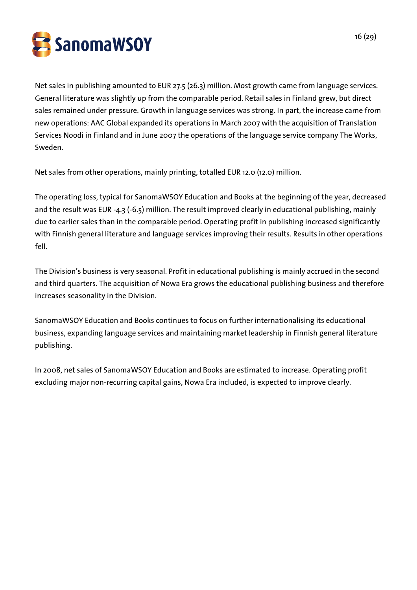

Net sales in publishing amounted to EUR 27.5 (26.3) million. Most growth came from language services. General literature was slightly up from the comparable period. Retail sales in Finland grew, but direct sales remained under pressure. Growth in language services was strong. In part, the increase came from new operations: AAC Global expanded its operations in March 2007 with the acquisition of Translation Services Noodi in Finland and in June 2007 the operations of the language service company The Works, Sweden.

Net sales from other operations, mainly printing, totalled EUR 12.0 (12.0) million.

The operating loss, typical for SanomaWSOY Education and Books at the beginning of the year, decreased and the result was EUR -4.3 (-6.5) million. The result improved clearly in educational publishing, mainly due to earlier sales than in the comparable period. Operating profit in publishing increased significantly with Finnish general literature and language services improving their results. Results in other operations fell.

The Division's business is very seasonal. Profit in educational publishing is mainly accrued in the second and third quarters. The acquisition of Nowa Era grows the educational publishing business and therefore increases seasonality in the Division.

SanomaWSOY Education and Books continues to focus on further internationalising its educational business, expanding language services and maintaining market leadership in Finnish general literature publishing.

In 2008, net sales of SanomaWSOY Education and Books are estimated to increase. Operating profit excluding major non-recurring capital gains, Nowa Era included, is expected to improve clearly.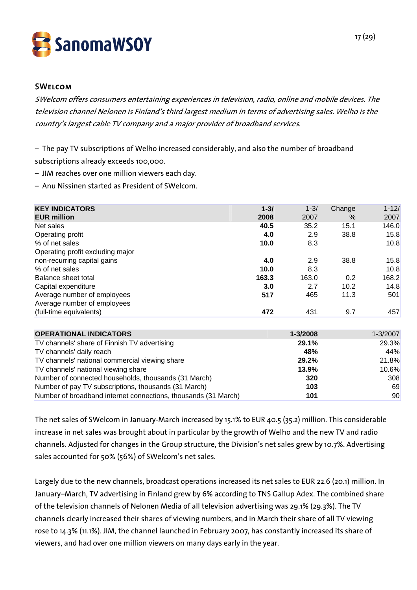

#### **SWELCOM**

SWelcom offers consumers entertaining experiences in television, radio, online and mobile devices. The television channel Nelonen is Finland's third largest medium in terms of advertising sales. Welho is the country's largest cable TV company and a major provider of broadband services.

– The pay TV subscriptions of Welho increased considerably, and also the number of broadband subscriptions already exceeds 100,000.

- JIM reaches over one million viewers each day.
- Anu Nissinen started as President of SWelcom.

| <b>KEY INDICATORS</b>            | $1 - 3/$ | $1 - 3/$ | Change | $1 - 12/$ |
|----------------------------------|----------|----------|--------|-----------|
| <b>EUR million</b>               | 2008     | 2007     | $\%$   | 2007      |
| Net sales                        | 40.5     | 35.2     | 15.1   | 146.0     |
| Operating profit                 | 4.0      | 2.9      | 38.8   | 15.8      |
| % of net sales                   | 10.0     | 8.3      |        | 10.8      |
| Operating profit excluding major |          |          |        |           |
| non-recurring capital gains      | 4.0      | 2.9      | 38.8   | 15.8      |
| % of net sales                   | 10.0     | 8.3      |        | 10.8      |
| Balance sheet total              | 163.3    | 163.0    | 0.2    | 168.2     |
| Capital expenditure              | 3.0      | 2.7      | 10.2   | 14.8      |
| Average number of employees      | 517      | 465      | 11.3   | 501       |
| Average number of employees      |          |          |        |           |
| (full-time equivalents)          | 472      | 431      | 9.7    | 457       |

| <b>OPERATIONAL INDICATORS</b>                                  | 1-3/2008 | $1 - 3/2007$ |
|----------------------------------------------------------------|----------|--------------|
| TV channels' share of Finnish TV advertising                   | 29.1%    | 29.3%        |
| TV channels' daily reach                                       | 48%      | 44%          |
| TV channels' national commercial viewing share                 | 29.2%    | 21.8%        |
| TV channels' national viewing share                            | 13.9%    | 10.6%        |
| Number of connected households, thousands (31 March)           | 320      | <b>308</b>   |
| Number of pay TV subscriptions, thousands (31 March)           | 103      | 69           |
| Number of broadband internet connections, thousands (31 March) | 101      | 90           |

The net sales of SWelcom in January-March increased by 15.1% to EUR 40.5 (35.2) million. This considerable increase in net sales was brought about in particular by the growth of Welho and the new TV and radio channels. Adjusted for changes in the Group structure, the Division's net sales grew by 10.7%. Advertising sales accounted for 50% (56%) of SWelcom's net sales.

Largely due to the new channels, broadcast operations increased its net sales to EUR 22.6 (20.1) million. In January–March, TV advertising in Finland grew by 6% according to TNS Gallup Adex. The combined share of the television channels of Nelonen Media of all television advertising was 29.1% (29.3%). The TV channels clearly increased their shares of viewing numbers, and in March their share of all TV viewing rose to 14.3% (11.1%). JIM, the channel launched in February 2007, has constantly increased its share of viewers, and had over one million viewers on many days early in the year.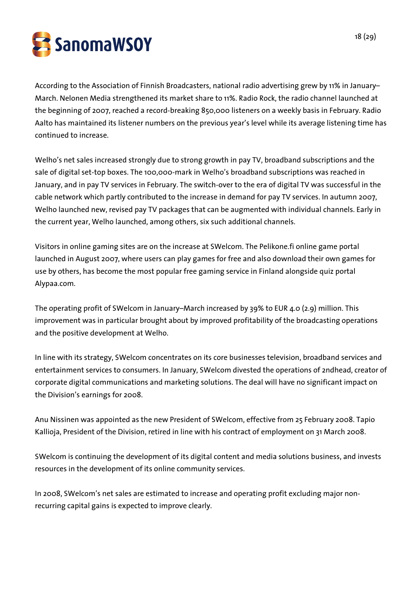

According to the Association of Finnish Broadcasters, national radio advertising grew by 11% in January– March. Nelonen Media strengthened its market share to 11%. Radio Rock, the radio channel launched at the beginning of 2007, reached a record-breaking 850,000 listeners on a weekly basis in February. Radio Aalto has maintained its listener numbers on the previous year's level while its average listening time has continued to increase.

Welho's net sales increased strongly due to strong growth in pay TV, broadband subscriptions and the sale of digital set-top boxes. The 100,000-mark in Welho's broadband subscriptions was reached in January, and in pay TV services in February. The switch-over to the era of digital TV was successful in the cable network which partly contributed to the increase in demand for pay TV services. In autumn 2007, Welho launched new, revised pay TV packages that can be augmented with individual channels. Early in the current year, Welho launched, among others, six such additional channels.

Visitors in online gaming sites are on the increase at SWelcom. The Pelikone.fi online game portal launched in August 2007, where users can play games for free and also download their own games for use by others, has become the most popular free gaming service in Finland alongside quiz portal Alypaa.com.

The operating profit of SWelcom in January–March increased by 39% to EUR 4.0 (2.9) million. This improvement was in particular brought about by improved profitability of the broadcasting operations and the positive development at Welho.

In line with its strategy, SWelcom concentrates on its core businesses television, broadband services and entertainment services to consumers. In January, SWelcom divested the operations of 2ndhead, creator of corporate digital communications and marketing solutions. The deal will have no significant impact on the Division's earnings for 2008.

Anu Nissinen was appointed as the new President of SWelcom, effective from 25 February 2008. Tapio Kallioja, President of the Division, retired in line with his contract of employment on 31 March 2008.

SWelcom is continuing the development of its digital content and media solutions business, and invests resources in the development of its online community services.

In 2008, SWelcom's net sales are estimated to increase and operating profit excluding major nonrecurring capital gains is expected to improve clearly.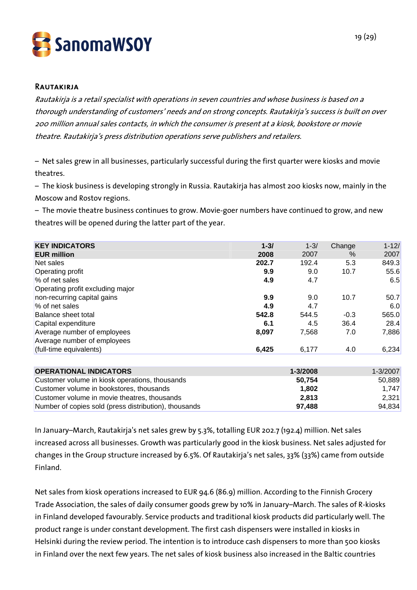

#### **RAUTAKIRJA**

Rautakirja is a retail specialist with operations in seven countries and whose business is based on a thorough understanding of customers' needs and on strong concepts. Rautakirja's success is built on over 200 million annual sales contacts, in which the consumer is present at a kiosk, bookstore or movie theatre. Rautakirja's press distribution operations serve publishers and retailers.

– Net sales grew in all businesses, particularly successful during the first quarter were kiosks and movie theatres.

– The kiosk business is developing strongly in Russia. Rautakirja has almost 200 kiosks now, mainly in the Moscow and Rostov regions.

– The movie theatre business continues to grow. Movie-goer numbers have continued to grow, and new theatres will be opened during the latter part of the year.

| <b>KEY INDICATORS</b>            | $1 - 3/$ | $1 - 3/$ | Change | $1 - 12/$ |
|----------------------------------|----------|----------|--------|-----------|
| <b>EUR million</b>               | 2008     | 2007     | $\%$   | 2007      |
| Net sales                        | 202.7    | 192.4    | 5.3    | 849.3     |
| Operating profit                 | 9.9      | 9.0      | 10.7   | 55.6      |
| % of net sales                   | 4.9      | 4.7      |        | 6.5       |
| Operating profit excluding major |          |          |        |           |
| non-recurring capital gains      | 9.9      | 9.0      | 10.7   | 50.7      |
| % of net sales                   | 4.9      | 4.7      |        | 6.0       |
| Balance sheet total              | 542.8    | 544.5    | $-0.3$ | 565.0     |
| Capital expenditure              | 6.1      | 4.5      | 36.4   | 28.4      |
| Average number of employees      | 8,097    | 7,568    | 7.0    | 7,886     |
| Average number of employees      |          |          |        |           |
| (full-time equivalents)          | 6,425    | 6,177    | 4.0    | 6,234     |
|                                  |          |          |        |           |

| <b>OPERATIONAL INDICATORS</b>                         | $1 - 3/2008$ | $1 - 3/2007$ |
|-------------------------------------------------------|--------------|--------------|
| Customer volume in kiosk operations, thousands        | 50.754       | 50.889       |
| Customer volume in bookstores, thousands              | 1.802        | 1.747        |
| Customer volume in movie theatres, thousands          | 2.813        | 2.321        |
| Number of copies sold (press distribution), thousands | 97.488       | 94.834       |

In January–March, Rautakirja's net sales grew by 5.3%, totalling EUR 202.7 (192.4) million. Net sales increased across all businesses. Growth was particularly good in the kiosk business. Net sales adjusted for changes in the Group structure increased by 6.5%. Of Rautakirja's net sales, 33% (33%) came from outside Finland.

Net sales from kiosk operations increased to EUR 94.6 (86.9) million. According to the Finnish Grocery Trade Association, the sales of daily consumer goods grew by 10% in January–March. The sales of R-kiosks in Finland developed favourably. Service products and traditional kiosk products did particularly well. The product range is under constant development. The first cash dispensers were installed in kiosks in Helsinki during the review period. The intention is to introduce cash dispensers to more than 500 kiosks in Finland over the next few years. The net sales of kiosk business also increased in the Baltic countries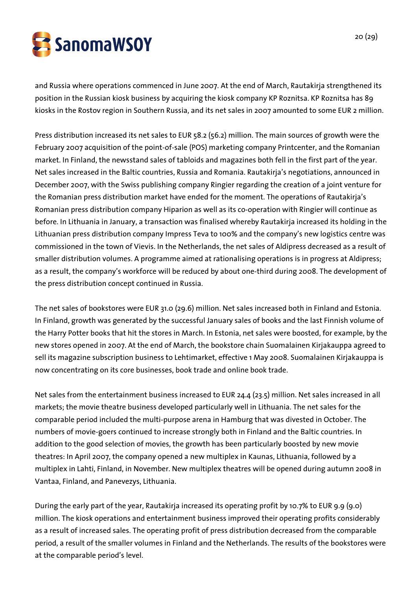

and Russia where operations commenced in June 2007. At the end of March, Rautakirja strengthened its position in the Russian kiosk business by acquiring the kiosk company KP Roznitsa. KP Roznitsa has 89 kiosks in the Rostov region in Southern Russia, and its net sales in 2007 amounted to some EUR 2 million.

Press distribution increased its net sales to EUR 58.2 (56.2) million. The main sources of growth were the February 2007 acquisition of the point-of-sale (POS) marketing company Printcenter, and the Romanian market. In Finland, the newsstand sales of tabloids and magazines both fell in the first part of the year. Net sales increased in the Baltic countries, Russia and Romania. Rautakirja's negotiations, announced in December 2007, with the Swiss publishing company Ringier regarding the creation of a joint venture for the Romanian press distribution market have ended for the moment. The operations of Rautakirja's Romanian press distribution company Hiparion as well as its co-operation with Ringier will continue as before. In Lithuania in January, a transaction was finalised whereby Rautakirja increased its holding in the Lithuanian press distribution company Impress Teva to 100% and the company's new logistics centre was commissioned in the town of Vievis. In the Netherlands, the net sales of Aldipress decreased as a result of smaller distribution volumes. A programme aimed at rationalising operations is in progress at Aldipress; as a result, the company's workforce will be reduced by about one-third during 2008. The development of the press distribution concept continued in Russia.

The net sales of bookstores were EUR 31.0 (29.6) million. Net sales increased both in Finland and Estonia. In Finland, growth was generated by the successful January sales of books and the last Finnish volume of the Harry Potter books that hit the stores in March. In Estonia, net sales were boosted, for example, by the new stores opened in 2007. At the end of March, the bookstore chain Suomalainen Kirjakauppa agreed to sell its magazine subscription business to Lehtimarket, effective 1 May 2008. Suomalainen Kirjakauppa is now concentrating on its core businesses, book trade and online book trade.

Net sales from the entertainment business increased to EUR 24.4 (23.5) million. Net sales increased in all markets; the movie theatre business developed particularly well in Lithuania. The net sales for the comparable period included the multi-purpose arena in Hamburg that was divested in October. The numbers of movie-goers continued to increase strongly both in Finland and the Baltic countries. In addition to the good selection of movies, the growth has been particularly boosted by new movie theatres: In April 2007, the company opened a new multiplex in Kaunas, Lithuania, followed by a multiplex in Lahti, Finland, in November. New multiplex theatres will be opened during autumn 2008 in Vantaa, Finland, and Panevezys, Lithuania.

During the early part of the year, Rautakirja increased its operating profit by 10.7% to EUR 9.9 (9.0) million. The kiosk operations and entertainment business improved their operating profits considerably as a result of increased sales. The operating profit of press distribution decreased from the comparable period, a result of the smaller volumes in Finland and the Netherlands. The results of the bookstores were at the comparable period's level.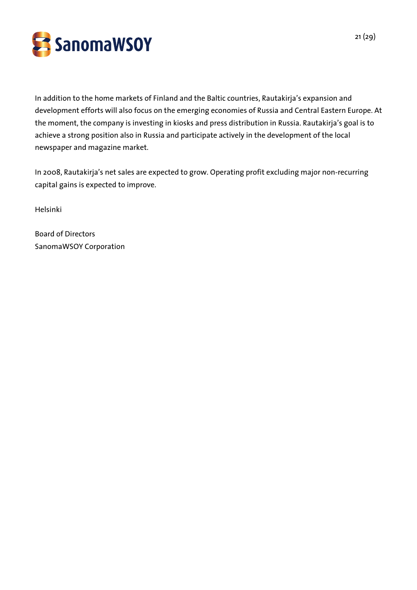

In addition to the home markets of Finland and the Baltic countries, Rautakirja's expansion and development efforts will also focus on the emerging economies of Russia and Central Eastern Europe. At the moment, the company is investing in kiosks and press distribution in Russia. Rautakirja's goal is to achieve a strong position also in Russia and participate actively in the development of the local newspaper and magazine market.

In 2008, Rautakirja's net sales are expected to grow. Operating profit excluding major non-recurring capital gains is expected to improve.

Helsinki

Board of Directors SanomaWSOY Corporation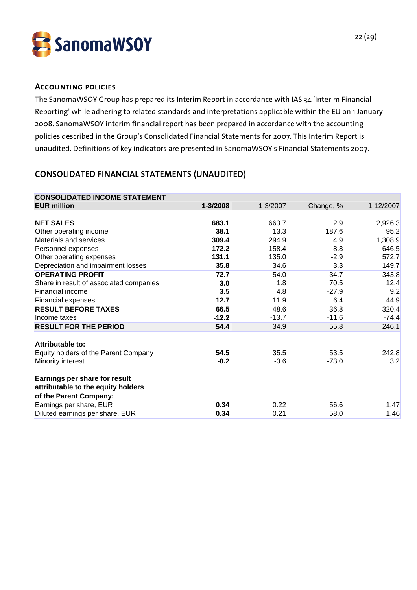

#### Accounting policies

The SanomaWSOY Group has prepared its Interim Report in accordance with IAS 34 'Interim Financial Reporting' while adhering to related standards and interpretations applicable within the EU on 1 January 2008. SanomaWSOY interim financial report has been prepared in accordance with the accounting policies described in the Group's Consolidated Financial Statements for 2007. This Interim Report is unaudited. Definitions of key indicators are presented in SanomaWSOY's Financial Statements 2007.

## CONSOLIDATED FINANCIAL STATEMENTS (UNAUDITED)

| 1-3/2008 | 1-3/2007 | Change, % | 1-12/2007 |
|----------|----------|-----------|-----------|
|          |          |           |           |
| 683.1    | 663.7    | 2.9       | 2,926.3   |
| 38.1     | 13.3     | 187.6     | 95.2      |
| 309.4    | 294.9    | 4.9       | 1,308.9   |
| 172.2    | 158.4    | 8.8       | 646.5     |
| 131.1    | 135.0    | $-2.9$    | 572.7     |
| 35.8     | 34.6     | 3.3       | 149.7     |
| 72.7     | 54.0     | 34.7      | 343.8     |
| 3.0      | 1.8      | 70.5      | 12.4      |
| 3.5      | 4.8      | $-27.9$   | 9.2       |
| 12.7     | 11.9     | 6.4       | 44.9      |
| 66.5     | 48.6     | 36.8      | 320.4     |
| $-12.2$  | $-13.7$  | $-11.6$   | $-74.4$   |
| 54.4     | 34.9     | 55.8      | 246.1     |
|          |          |           |           |
| 54.5     | 35.5     | 53.5      | 242.8     |
| $-0.2$   | $-0.6$   | $-73.0$   | 3.2       |
|          |          |           |           |
| 0.34     | 0.22     | 56.6      | 1.47      |
| 0.34     | 0.21     | 58.0      | 1.46      |
|          |          |           |           |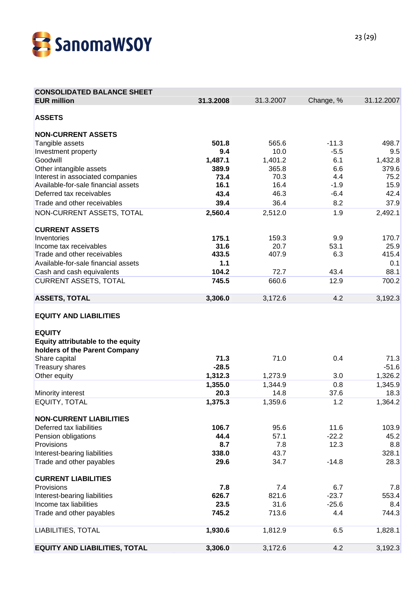

| <b>CONSOLIDATED BALANCE SHEET</b>    |           |               |             |            |
|--------------------------------------|-----------|---------------|-------------|------------|
| <b>EUR million</b>                   | 31.3.2008 | 31.3.2007     | Change, %   | 31.12.2007 |
| <b>ASSETS</b>                        |           |               |             |            |
|                                      |           |               |             |            |
| <b>NON-CURRENT ASSETS</b>            |           |               |             |            |
| Tangible assets                      | 501.8     | 565.6         | $-11.3$     | 498.7      |
| Investment property                  | 9.4       | 10.0          | $-5.5$      | 9.5        |
| Goodwill                             | 1,487.1   | 1,401.2       | 6.1         | 1,432.8    |
| Other intangible assets              | 389.9     | 365.8         | 6.6         | 379.6      |
| Interest in associated companies     | 73.4      | 70.3          | 4.4         | 75.2       |
| Available-for-sale financial assets  | 16.1      | 16.4          | $-1.9$      | 15.9       |
| Deferred tax receivables             | 43.4      | 46.3          | $-6.4$      | 42.4       |
| Trade and other receivables          | 39.4      | 36.4          | 8.2         | 37.9       |
| NON-CURRENT ASSETS, TOTAL            | 2,560.4   | 2,512.0       | 1.9         | 2,492.1    |
| <b>CURRENT ASSETS</b>                |           |               |             |            |
| Inventories                          | 175.1     |               |             | 170.7      |
| Income tax receivables               | 31.6      | 159.3<br>20.7 | 9.9<br>53.1 | 25.9       |
| Trade and other receivables          | 433.5     | 407.9         | 6.3         | 415.4      |
| Available-for-sale financial assets  | 1.1       |               |             | 0.1        |
|                                      | 104.2     | 72.7          | 43.4        | 88.1       |
| Cash and cash equivalents            | 745.5     | 660.6         | 12.9        | 700.2      |
| <b>CURRENT ASSETS, TOTAL</b>         |           |               |             |            |
| <b>ASSETS, TOTAL</b>                 | 3,306.0   | 3,172.6       | 4.2         | 3,192.3    |
|                                      |           |               |             |            |
| <b>EQUITY AND LIABILITIES</b>        |           |               |             |            |
|                                      |           |               |             |            |
| <b>EQUITY</b>                        |           |               |             |            |
| Equity attributable to the equity    |           |               |             |            |
| holders of the Parent Company        |           |               |             |            |
| Share capital                        | 71.3      | 71.0          | 0.4         | 71.3       |
| <b>Treasury shares</b>               | $-28.5$   |               |             | $-51.6$    |
| Other equity                         | 1,312.3   | 1,273.9       | 3.0         | 1,326.2    |
|                                      | 1,355.0   | 1,344.9       | 0.8         | 1,345.9    |
| Minority interest                    | 20.3      | 14.8          | 37.6        | 18.3       |
| <b>EQUITY, TOTAL</b>                 | 1,375.3   | 1,359.6       | 1.2         | 1,364.2    |
| <b>NON-CURRENT LIABILITIES</b>       |           |               |             |            |
| Deferred tax liabilities             | 106.7     | 95.6          | 11.6        | 103.9      |
| Pension obligations                  | 44.4      | 57.1          | $-22.2$     | 45.2       |
| Provisions                           | 8.7       | 7.8           | 12.3        | 8.8        |
| Interest-bearing liabilities         | 338.0     | 43.7          |             | 328.1      |
| Trade and other payables             | 29.6      | 34.7          | $-14.8$     | 28.3       |
|                                      |           |               |             |            |
| <b>CURRENT LIABILITIES</b>           |           |               |             |            |
| Provisions                           | 7.8       | 7.4           | 6.7         | 7.8        |
| Interest-bearing liabilities         | 626.7     | 821.6         | $-23.7$     | 553.4      |
| Income tax liabilities               | 23.5      | 31.6          | $-25.6$     | 8.4        |
| Trade and other payables             | 745.2     | 713.6         | 4.4         | 744.3      |
| LIABILITIES, TOTAL                   | 1,930.6   | 1,812.9       | 6.5         | 1,828.1    |
|                                      |           |               |             |            |
| <b>EQUITY AND LIABILITIES, TOTAL</b> | 3,306.0   | 3,172.6       | 4.2         | 3,192.3    |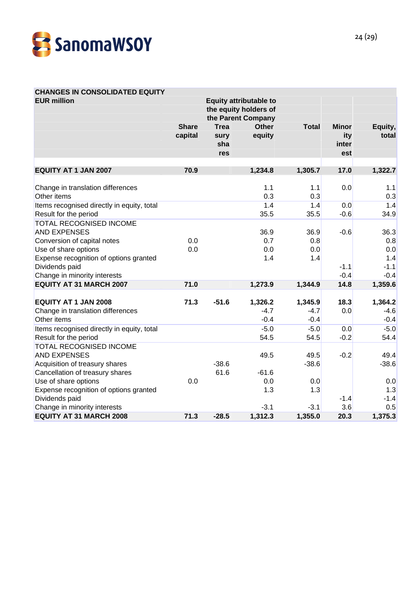

# **CHANGES IN CONSOLIDATED EQUITY**

| <b>EUR million</b>                                                                                                  | <b>Equity attributable to</b><br>the equity holders of<br>the Parent Company |                            |                             |                             |                              |                             |
|---------------------------------------------------------------------------------------------------------------------|------------------------------------------------------------------------------|----------------------------|-----------------------------|-----------------------------|------------------------------|-----------------------------|
|                                                                                                                     | <b>Share</b><br>capital                                                      | <b>Trea</b><br>sury<br>sha | <b>Other</b><br>equity      | <b>Total</b>                | <b>Minor</b><br>ity<br>inter | Equity,<br>total            |
|                                                                                                                     |                                                                              | res                        |                             |                             | est                          |                             |
| <b>EQUITY AT 1 JAN 2007</b>                                                                                         | 70.9                                                                         |                            | 1,234.8                     | 1,305.7                     | 17.0                         | 1,322.7                     |
| Change in translation differences<br>Other items                                                                    |                                                                              |                            | 1.1<br>0.3                  | 1.1<br>0.3                  | 0.0                          | 1.1<br>0.3                  |
| Items recognised directly in equity, total<br>Result for the period                                                 |                                                                              |                            | 1.4<br>35.5                 | 1.4<br>35.5                 | 0.0<br>$-0.6$                | 1.4<br>34.9                 |
| <b>TOTAL RECOGNISED INCOME</b><br><b>AND EXPENSES</b><br>Conversion of capital notes<br>Use of share options        | 0.0<br>0.0                                                                   |                            | 36.9<br>0.7<br>0.0          | 36.9<br>0.8<br>0.0          | $-0.6$                       | 36.3<br>0.8<br>0.0          |
| Expense recognition of options granted<br>Dividends paid<br>Change in minority interests                            |                                                                              |                            | 1.4                         | 1.4                         | $-1.1$<br>$-0.4$             | 1.4<br>$-1.1$<br>$-0.4$     |
| <b>EQUITY AT 31 MARCH 2007</b>                                                                                      | 71.0                                                                         |                            | 1,273.9                     | 1,344.9                     | 14.8                         | 1,359.6                     |
| <b>EQUITY AT 1 JAN 2008</b><br>Change in translation differences<br>Other items                                     | 71.3                                                                         | $-51.6$                    | 1,326.2<br>$-4.7$<br>$-0.4$ | 1,345.9<br>$-4.7$<br>$-0.4$ | 18.3<br>0.0                  | 1,364.2<br>$-4.6$<br>$-0.4$ |
| Items recognised directly in equity, total<br>Result for the period                                                 |                                                                              |                            | $-5.0$<br>54.5              | $-5.0$<br>54.5              | 0.0<br>$-0.2$                | $-5.0$<br>54.4              |
| TOTAL RECOGNISED INCOME<br><b>AND EXPENSES</b><br>Acquisition of treasury shares<br>Cancellation of treasury shares |                                                                              | $-38.6$<br>61.6            | 49.5<br>$-61.6$             | 49.5<br>$-38.6$             | $-0.2$                       | 49.4<br>$-38.6$             |
| Use of share options<br>Expense recognition of options granted<br>Dividends paid                                    | 0.0                                                                          |                            | 0.0<br>1.3                  | 0.0<br>1.3                  | $-1.4$                       | 0.0<br>1.3<br>$-1.4$        |
| Change in minority interests<br><b>EQUITY AT 31 MARCH 2008</b>                                                      | 71.3                                                                         | $-28.5$                    | $-3.1$<br>1,312.3           | $-3.1$<br>1,355.0           | 3.6<br>20.3                  | 0.5<br>1,375.3              |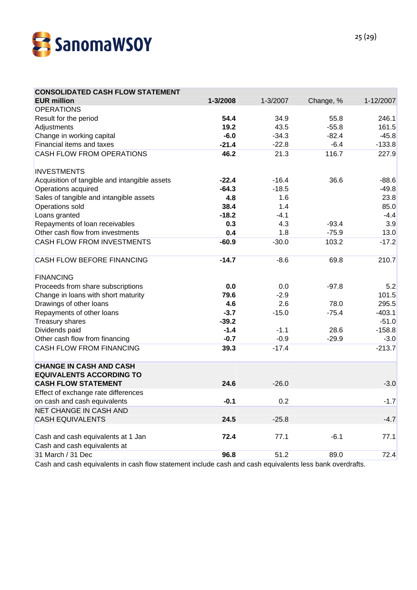

| <b>CONSOLIDATED CASH FLOW STATEMENT</b>                            |          |          |           |           |
|--------------------------------------------------------------------|----------|----------|-----------|-----------|
| <b>EUR million</b>                                                 | 1-3/2008 | 1-3/2007 | Change, % | 1-12/2007 |
| <b>OPERATIONS</b>                                                  |          |          |           |           |
| Result for the period                                              | 54.4     | 34.9     | 55.8      | 246.1     |
| Adjustments                                                        | 19.2     | 43.5     | $-55.8$   | 161.5     |
| Change in working capital                                          | $-6.0$   | $-34.3$  | $-82.4$   | $-45.8$   |
| Financial items and taxes                                          | $-21.4$  | $-22.8$  | $-6.4$    | $-133.8$  |
| CASH FLOW FROM OPERATIONS                                          | 46.2     | 21.3     | 116.7     | 227.9     |
| <b>INVESTMENTS</b>                                                 |          |          |           |           |
| Acquisition of tangible and intangible assets                      | $-22.4$  | $-16.4$  | 36.6      | $-88.6$   |
| Operations acquired                                                | $-64.3$  | $-18.5$  |           | $-49.8$   |
| Sales of tangible and intangible assets                            | 4.8      | 1.6      |           | 23.8      |
| Operations sold                                                    | 38.4     | 1.4      |           | 85.0      |
| Loans granted                                                      | $-18.2$  | $-4.1$   |           | $-4.4$    |
| Repayments of loan receivables                                     | 0.3      | 4.3      | $-93.4$   | 3.9       |
| Other cash flow from investments                                   | 0.4      | 1.8      | $-75.9$   | 13.0      |
| CASH FLOW FROM INVESTMENTS                                         | $-60.9$  | $-30.0$  | 103.2     | $-17.2$   |
| <b>CASH FLOW BEFORE FINANCING</b>                                  | $-14.7$  | $-8.6$   | 69.8      | 210.7     |
| <b>FINANCING</b>                                                   |          |          |           |           |
| Proceeds from share subscriptions                                  | 0.0      | 0.0      | $-97.8$   | 5.2       |
| Change in loans with short maturity                                | 79.6     | $-2.9$   |           | 101.5     |
| Drawings of other loans                                            | 4.6      | 2.6      | 78.0      | 295.5     |
| Repayments of other loans                                          | $-3.7$   | $-15.0$  | $-75.4$   | $-403.1$  |
| Treasury shares                                                    | $-39.2$  |          |           | $-51.0$   |
| Dividends paid                                                     | $-1.4$   | $-1.1$   | 28.6      | $-158.8$  |
| Other cash flow from financing                                     | $-0.7$   | $-0.9$   | $-29.9$   | $-3.0$    |
| <b>CASH FLOW FROM FINANCING</b>                                    | 39.3     | $-17.4$  |           | $-213.7$  |
| <b>CHANGE IN CASH AND CASH</b>                                     |          |          |           |           |
| <b>EQUIVALENTS ACCORDING TO</b><br><b>CASH FLOW STATEMENT</b>      | 24.6     | $-26.0$  |           | $-3.0$    |
| Effect of exchange rate differences                                |          |          |           |           |
| on cash and cash equivalents                                       | $-0.1$   | 0.2      |           | $-1.7$    |
| <b>NET CHANGE IN CASH AND</b>                                      |          |          |           |           |
| <b>CASH EQUIVALENTS</b>                                            | 24.5     | $-25.8$  |           | $-4.7$    |
|                                                                    |          |          |           |           |
| Cash and cash equivalents at 1 Jan<br>Cash and cash equivalents at | 72.4     | 77.1     | $-6.1$    | 77.1      |
| 31 March / 31 Dec                                                  | 96.8     | 51.2     | 89.0      | 72.4      |
|                                                                    |          |          |           |           |

Cash and cash equivalents in cash flow statement include cash and cash equivalents less bank overdrafts.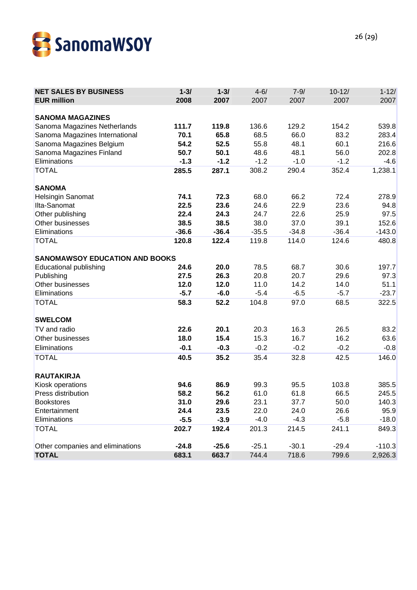

| <b>NET SALES BY BUSINESS</b><br><b>EUR million</b> | $1 - 31$<br>2008 | $1 - 3/$<br>2007 | $4 - 6/$<br>2007 | $7 - 9/$<br>2007 | $10 - 12/$<br>2007 | $1 - 12/$<br>2007 |
|----------------------------------------------------|------------------|------------------|------------------|------------------|--------------------|-------------------|
| <b>SANOMA MAGAZINES</b>                            |                  |                  |                  |                  |                    |                   |
| Sanoma Magazines Netherlands                       | 111.7            | 119.8            | 136.6            | 129.2            | 154.2              | 539.8             |
| Sanoma Magazines International                     | 70.1             | 65.8             | 68.5             | 66.0             | 83.2               | 283.4             |
| Sanoma Magazines Belgium                           | 54.2             | 52.5             | 55.8             | 48.1             | 60.1               | 216.6             |
| Sanoma Magazines Finland                           | 50.7             | 50.1             | 48.6             | 48.1             | 56.0               | 202.8             |
| Eliminations                                       | $-1.3$           | $-1.2$           | $-1.2$           | $-1.0$           | $-1.2$             | $-4.6$            |
| <b>TOTAL</b>                                       | 285.5            | 287.1            | 308.2            | 290.4            | 352.4              | 1,238.1           |
| <b>SANOMA</b>                                      |                  |                  |                  |                  |                    |                   |
| Helsingin Sanomat                                  | 74.1             | 72.3             | 68.0             | 66.2             | 72.4               | 278.9             |
| Ilta-Sanomat                                       | 22.5             | 23.6             | 24.6             | 22.9             | 23.6               | 94.8              |
| Other publishing                                   | 22.4             | 24.3             | 24.7             | 22.6             | 25.9               | 97.5              |
| Other businesses                                   | 38.5             | 38.5             | 38.0             | 37.0             | 39.1               | 152.6             |
| Eliminations                                       | $-36.6$          | $-36.4$          | $-35.5$          | $-34.8$          | $-36.4$            | $-143.0$          |
| <b>TOTAL</b>                                       | 120.8            | 122.4            | 119.8            | 114.0            | 124.6              | 480.8             |
| <b>SANOMAWSOY EDUCATION AND BOOKS</b>              |                  |                  |                  |                  |                    |                   |
| <b>Educational publishing</b>                      | 24.6             | 20.0             | 78.5             | 68.7             | 30.6               | 197.7             |
| Publishing                                         | 27.5             | 26.3             | 20.8             | 20.7             | 29.6               | 97.3              |
| Other businesses                                   | 12.0             | 12.0             | 11.0             | 14.2             | 14.0               | 51.1              |
| Eliminations                                       | $-5.7$           | $-6.0$           | $-5.4$           | $-6.5$           | $-5.7$             | $-23.7$           |
| <b>TOTAL</b>                                       | 58.3             | 52.2             | 104.8            | 97.0             | 68.5               | 322.5             |
| <b>SWELCOM</b>                                     |                  |                  |                  |                  |                    |                   |
| TV and radio                                       | 22.6             | 20.1             | 20.3             | 16.3             | 26.5               | 83.2              |
| Other businesses                                   | 18.0             | 15.4             | 15.3             | 16.7             | 16.2               | 63.6              |
| Eliminations                                       | $-0.1$           | $-0.3$           | $-0.2$           | $-0.2$           | $-0.2$             | $-0.8$            |
| <b>TOTAL</b>                                       | 40.5             | 35.2             | 35.4             | 32.8             | 42.5               | 146.0             |
| <b>RAUTAKIRJA</b>                                  |                  |                  |                  |                  |                    |                   |
| Kiosk operations                                   | 94.6             | 86.9             | 99.3             | 95.5             | 103.8              | 385.5             |
| Press distribution                                 | 58.2             | 56.2             | 61.0             | 61.8             | 66.5               | 245.5             |
| <b>Bookstores</b>                                  | 31.0             | 29.6             | 23.1             | 37.7             | 50.0               | 140.3             |
| Entertainment                                      | 24.4             | 23.5             | 22.0             | 24.0             | 26.6               | 95.9              |
| Eliminations                                       | $-5.5$           | $-3.9$           | $-4.0$           | $-4.3$           | $-5.8$             | $-18.0$           |
| <b>TOTAL</b>                                       | 202.7            | 192.4            | 201.3            | 214.5            | 241.1              | 849.3             |
| Other companies and eliminations                   | $-24.8$          | $-25.6$          | $-25.1$          | $-30.1$          | $-29.4$            | $-110.3$          |
| <b>TOTAL</b>                                       | 683.1            | 663.7            | 744.4            | 718.6            | 799.6              | 2,926.3           |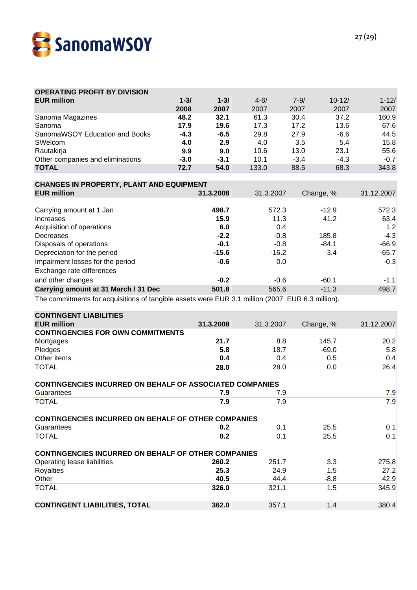

| <b>OPERATING PROFIT BY DIVISION</b>                                                               |          |           |           |          |            |            |
|---------------------------------------------------------------------------------------------------|----------|-----------|-----------|----------|------------|------------|
| <b>EUR million</b>                                                                                | $1 - 31$ | $1 - 31$  | $4 - 6/$  | $7 - 9/$ | $10 - 12/$ | $1 - 12/$  |
|                                                                                                   | 2008     | 2007      | 2007      | 2007     | 2007       | 2007       |
| Sanoma Magazines                                                                                  | 48.2     | 32.1      | 61.3      | 30.4     | 37.2       | 160.9      |
| Sanoma                                                                                            | 17.9     | 19.6      | 17.3      | 17.2     | 13.6       | 67.6       |
| SanomaWSOY Education and Books                                                                    | $-4.3$   | $-6.5$    | 29.8      | 27.9     | $-6.6$     | 44.5       |
| SWelcom                                                                                           | 4.0      | 2.9       | 4.0       | 3.5      | 5.4        | 15.8       |
| Rautakirja                                                                                        | 9.9      | 9.0       | 10.6      | 13.0     | 23.1       | 55.6       |
| Other companies and eliminations                                                                  | $-3.0$   | $-3.1$    | 10.1      | $-3.4$   | $-4.3$     | $-0.7$     |
| <b>TOTAL</b>                                                                                      | 72.7     | 54.0      | 133.0     | 88.5     | 68.3       | 343.8      |
|                                                                                                   |          |           |           |          |            |            |
| <b>CHANGES IN PROPERTY, PLANT AND EQUIPMENT</b>                                                   |          |           |           |          |            |            |
| <b>EUR million</b>                                                                                |          | 31.3.2008 | 31.3.2007 |          | Change, %  | 31.12.2007 |
|                                                                                                   |          |           |           |          |            |            |
| Carrying amount at 1 Jan                                                                          |          | 498.7     | 572.3     |          | $-12.9$    | 572.3      |
| Increases                                                                                         |          | 15.9      | 11.3      |          | 41.2       | 63.4       |
| Acquisition of operations                                                                         |          | 6.0       | 0.4       |          |            | 1.2        |
| Decreases                                                                                         |          | $-2.2$    | $-0.8$    |          | 185.8      | $-4.3$     |
| Disposals of operations                                                                           |          | $-0.1$    | $-0.8$    |          | $-84.1$    | $-66.9$    |
| Depreciation for the period                                                                       |          | $-15.6$   | $-16.2$   |          | $-3.4$     | $-65.7$    |
| Impairment losses for the period                                                                  |          | $-0.6$    | 0.0       |          |            | $-0.3$     |
| Exchange rate differences                                                                         |          |           |           |          |            |            |
| and other changes                                                                                 |          | $-0.2$    | $-0.6$    |          | $-60.1$    | $-1.1$     |
| Carrying amount at 31 March / 31 Dec                                                              |          | 501.8     | 565.6     |          | $-11.3$    | 498.7      |
| The commitments for acquisitions of tangible assets were EUR 3.1 million (2007: EUR 6.3 million). |          |           |           |          |            |            |
|                                                                                                   |          |           |           |          |            |            |
| <b>CONTINGENT LIABILITIES</b>                                                                     |          |           |           |          |            |            |
| <b>EUR million</b>                                                                                |          | 31.3.2008 | 31.3.2007 |          | Change, %  | 31.12.2007 |
| <b>CONTINGENCIES FOR OWN COMMITMENTS</b>                                                          |          |           |           |          |            |            |
| Mortgages                                                                                         |          | 21.7      | 8.8       |          | 145.7      | 20.2       |
| Pledges                                                                                           |          | 5.8       | 18.7      |          | $-69.0$    | 5.8        |
| Other items                                                                                       |          | 0.4       | 0.4       |          | 0.5        | 0.4        |
| <b>TOTAL</b>                                                                                      |          | 28.0      | 28.0      |          | 0.0        | 26.4       |
|                                                                                                   |          |           |           |          |            |            |
| <b>CONTINGENCIES INCURRED ON BEHALF OF ASSOCIATED COMPANIES</b>                                   |          |           |           |          |            |            |
| Guarantees                                                                                        |          | 7.9       | 7.9       |          |            | 7.9        |
| <b>TOTAL</b>                                                                                      |          | 7.9       | 7.9       |          |            | 7.9        |
|                                                                                                   |          |           |           |          |            |            |
| CONTINGENCIES INCURRED ON BEHALF OF OTHER COMPANIES                                               |          |           |           |          |            |            |
| Guarantees                                                                                        |          | 0.2       | 0.1       |          | 25.5       | 0.1        |
| <b>TOTAL</b>                                                                                      |          | 0.2       | 0.1       |          | 25.5       | 0.1        |
|                                                                                                   |          |           |           |          |            |            |
| <b>CONTINGENCIES INCURRED ON BEHALF OF OTHER COMPANIES</b>                                        |          |           |           |          |            |            |
| Operating lease liabilities                                                                       |          | 260.2     | 251.7     |          | 3.3        | 275.8      |
| Royalties                                                                                         |          | 25.3      | 24.9      |          | 1.5        | 27.2       |
| Other                                                                                             |          | 40.5      | 44.4      |          | $-8.8$     | 42.9       |
| <b>TOTAL</b>                                                                                      |          | 326.0     | 321.1     |          | 1.5        | 345.9      |
|                                                                                                   |          |           |           |          |            |            |
| <b>CONTINGENT LIABILITIES, TOTAL</b>                                                              |          | 362.0     | 357.1     |          | 1.4        | 380.4      |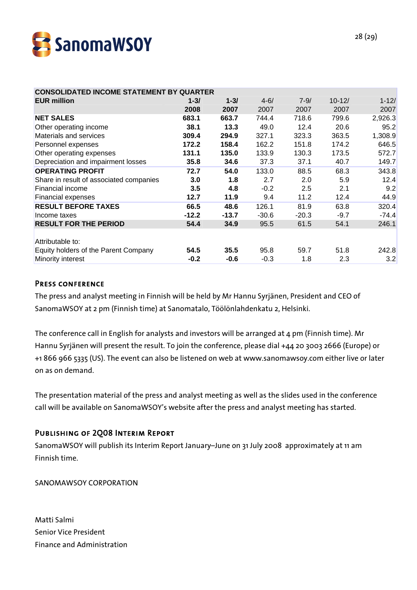

| <b>CONSOLIDATED INCOME STATEMENT BY QUARTER</b> |          |          |          |          |            |           |
|-------------------------------------------------|----------|----------|----------|----------|------------|-----------|
| <b>EUR million</b>                              | $1 - 3/$ | $1 - 31$ | $4 - 6/$ | $7 - 9/$ | $10 - 12/$ | $1 - 12/$ |
|                                                 | 2008     | 2007     | 2007     | 2007     | 2007       | 2007      |
| <b>NET SALES</b>                                | 683.1    | 663.7    | 744.4    | 718.6    | 799.6      | 2,926.3   |
| Other operating income                          | 38.1     | 13.3     | 49.0     | 12.4     | 20.6       | 95.2      |
| Materials and services                          | 309.4    | 294.9    | 327.1    | 323.3    | 363.5      | 1,308.9   |
| Personnel expenses                              | 172.2    | 158.4    | 162.2    | 151.8    | 174.2      | 646.5     |
| Other operating expenses                        | 131.1    | 135.0    | 133.9    | 130.3    | 173.5      | 572.7     |
| Depreciation and impairment losses              | 35.8     | 34.6     | 37.3     | 37.1     | 40.7       | 149.7     |
| <b>OPERATING PROFIT</b>                         | 72.7     | 54.0     | 133.0    | 88.5     | 68.3       | 343.8     |
| Share in result of associated companies         | 3.0      | 1.8      | 2.7      | 2.0      | 5.9        | 12.4      |
| Financial income                                | 3.5      | 4.8      | $-0.2$   | 2.5      | 2.1        | 9.2       |
| Financial expenses                              | 12.7     | 11.9     | 9.4      | 11.2     | 12.4       | 44.9      |
| <b>RESULT BEFORE TAXES</b>                      | 66.5     | 48.6     | 126.1    | 81.9     | 63.8       | 320.4     |
| Income taxes                                    | $-12.2$  | $-13.7$  | $-30.6$  | $-20.3$  | $-9.7$     | $-74.4$   |
| <b>RESULT FOR THE PERIOD</b>                    | 54.4     | 34.9     | 95.5     | 61.5     | 54.1       | 246.1     |
|                                                 |          |          |          |          |            |           |
| Attributable to:                                |          |          |          |          |            |           |
| Equity holders of the Parent Company            | 54.5     | 35.5     | 95.8     | 59.7     | 51.8       | 242.8     |
| Minority interest                               | $-0.2$   | $-0.6$   | $-0.3$   | 1.8      | 2.3        | 3.2       |

#### PRESS CONFERENCE

The press and analyst meeting in Finnish will be held by Mr Hannu Syrjänen, President and CEO of SanomaWSOY at 2 pm (Finnish time) at Sanomatalo, Töölönlahdenkatu 2, Helsinki.

The conference call in English for analysts and investors will be arranged at 4 pm (Finnish time). Mr Hannu Syrjänen will present the result. To join the conference, please dial +44 20 3003 2666 (Europe) or +1 866 966 5335 (US). The event can also be listened on web at www.sanomawsoy.com either live or later on as on demand.

The presentation material of the press and analyst meeting as well as the slides used in the conference call will be available on SanomaWSOY's website after the press and analyst meeting has started.

## Publishing of 2Q08 Interim Report

SanomaWSOY will publish its Interim Report January–June on 31 July 2008 approximately at 11 am Finnish time.

SANOMAWSOY CORPORATION

Matti Salmi Senior Vice President Finance and Administration